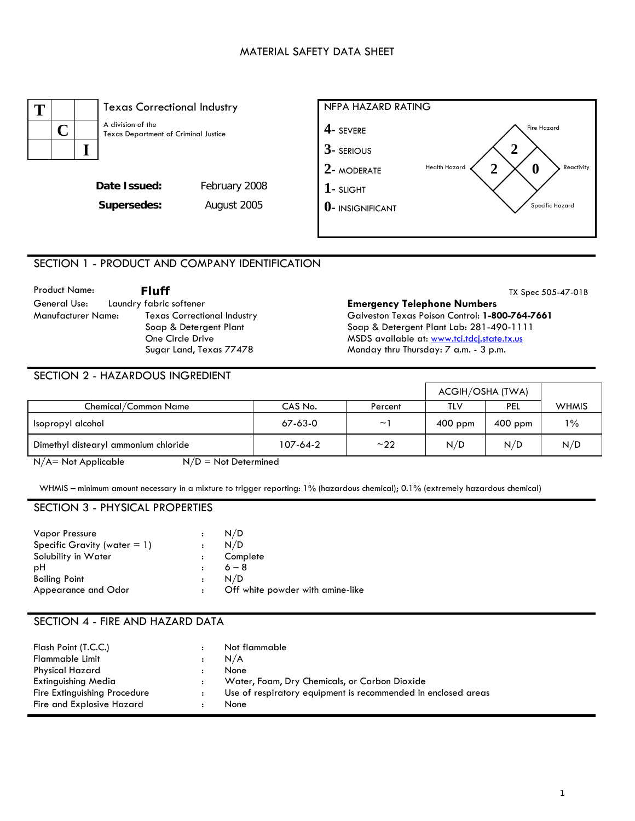### MATERIAL SAFETY DATA SHEET



# SECTION 1 - PRODUCT AND COMPANY IDENTIFICATION

| <b>Product Name:</b> | <b>Fluff</b>                       | TX Spec 505-47-01B                             |
|----------------------|------------------------------------|------------------------------------------------|
| General Use:         | Laundry fabric softener            | <b>Emergency Telephone Numbers</b>             |
| Manufacturer Name:   | <b>Texas Correctional Industry</b> | Galveston Texas Poison Control: 1-800-764-7661 |
|                      | Soap & Detergent Plant             | Soap & Detergent Plant Lab: 281-490-1111       |
|                      | One Circle Drive                   | MSDS available at: www.tci.tdcj.state.tx.us    |
|                      | Sugar Land, Texas 77478            | Monday thru Thursday: 7 a.m. - 3 p.m.          |

÷

 $\blacksquare$ 

### SECTION 2 - HAZARDOUS INGREDIENT

|                                                  |          |          | ACGIH/OSHA (TWA) |           |              |
|--------------------------------------------------|----------|----------|------------------|-----------|--------------|
| Chemical/Common Name                             | CAS No.  | Percent  | TLV              | PEL       | <b>WHMIS</b> |
| Isopropyl alcohol                                | 67-63-0  | $\sim$ ' | $400$ ppm        | $400$ ppm | $1\%$        |
| Dimethyl distearyl ammonium chloride             | 107-64-2 | ~22      | N/D              | N/D       | N/D          |
| $N/A$ = Not Applicable<br>$N/D = Not$ Determined |          |          |                  |           |              |

WHMIS – minimum amount necessary in a mixture to trigger reporting: 1% (hazardous chemical); 0.1% (extremely hazardous chemical)

### SECTION 3 - PHYSICAL PROPERTIES

| <b>Vapor Pressure</b>           |                      | N/D                              |
|---------------------------------|----------------------|----------------------------------|
| Specific Gravity (water $= 1$ ) | $\ddot{\phantom{a}}$ | N/D                              |
| Solubility in Water             |                      | Complete                         |
| рH                              |                      | $6 - 8$                          |
| <b>Boiling Point</b>            |                      | N/D                              |
| Appearance and Odor             | $\ddot{\cdot}$       | Off white powder with amine-like |

# SECTION 4 - FIRE AND HAZARD DATA

| Flash Point (T.C.C.)         |                      | Not flammable                                                 |
|------------------------------|----------------------|---------------------------------------------------------------|
| <b>Flammable Limit</b>       |                      | N/A                                                           |
| Physical Hazard              | $\ddot{\phantom{a}}$ | None                                                          |
| Extinguishing Media          |                      | Water, Foam, Dry Chemicals, or Carbon Dioxide                 |
| Fire Extinguishing Procedure |                      | Use of respiratory equipment is recommended in enclosed areas |
| Fire and Explosive Hazard    |                      | <b>None</b>                                                   |